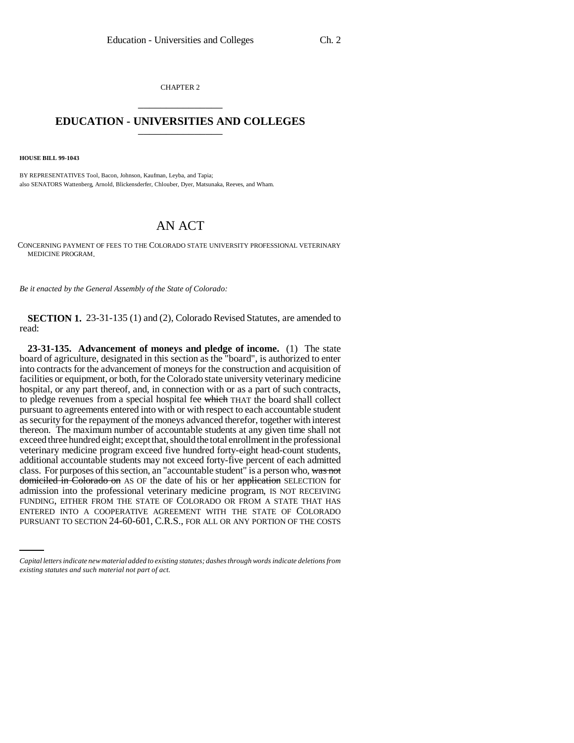CHAPTER 2 \_\_\_\_\_\_\_\_\_\_\_\_\_\_\_

## **EDUCATION - UNIVERSITIES AND COLLEGES** \_\_\_\_\_\_\_\_\_\_\_\_\_\_\_

**HOUSE BILL 99-1043** 

BY REPRESENTATIVES Tool, Bacon, Johnson, Kaufman, Leyba, and Tapia; also SENATORS Wattenberg, Arnold, Blickensderfer, Chlouber, Dyer, Matsunaka, Reeves, and Wham.

## AN ACT

CONCERNING PAYMENT OF FEES TO THE COLORADO STATE UNIVERSITY PROFESSIONAL VETERINARY MEDICINE PROGRAM.

*Be it enacted by the General Assembly of the State of Colorado:*

**SECTION 1.** 23-31-135 (1) and (2), Colorado Revised Statutes, are amended to read:

FUNDING, EITHER FROM THE STATE OF COLORADO OR FROM A STATE THAT HAS **23-31-135. Advancement of moneys and pledge of income.** (1) The state board of agriculture, designated in this section as the "board", is authorized to enter into contracts for the advancement of moneys for the construction and acquisition of facilities or equipment, or both, for the Colorado state university veterinary medicine hospital, or any part thereof, and, in connection with or as a part of such contracts, to pledge revenues from a special hospital fee which THAT the board shall collect pursuant to agreements entered into with or with respect to each accountable student as security for the repayment of the moneys advanced therefor, together with interest thereon. The maximum number of accountable students at any given time shall not exceed three hundred eight; except that, should the total enrollment in the professional veterinary medicine program exceed five hundred forty-eight head-count students, additional accountable students may not exceed forty-five percent of each admitted class. For purposes of this section, an "accountable student" is a person who, was not domiciled in Colorado on AS OF the date of his or her application SELECTION for admission into the professional veterinary medicine program, IS NOT RECEIVING ENTERED INTO A COOPERATIVE AGREEMENT WITH THE STATE OF COLORADO PURSUANT TO SECTION 24-60-601, C.R.S., FOR ALL OR ANY PORTION OF THE COSTS

*Capital letters indicate new material added to existing statutes; dashes through words indicate deletions from existing statutes and such material not part of act.*